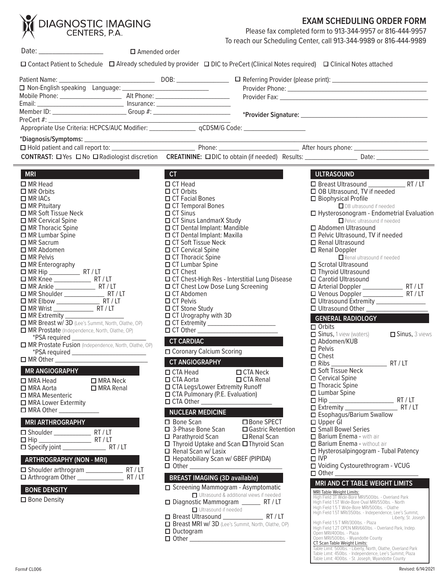| $\Box$ Amended order<br>□ Contact Patient to Schedule □ Already scheduled by provider □ DIC to PreCert (Clinical Notes required) □ Clinical Notes attached<br><b>ULTRASOUND AND REAL PROPERTY</b><br><b>MRI</b><br><b>CT</b><br>$\Box$ CT Head<br>$\Box$ MR Head<br>□ OB Ultrasound, TV if needed<br>$\Box$ CT Orbits<br>□ Biophysical Profile<br>$\Box$ CT Facial Bones<br>$\Box$ MR Pituitary<br>□ CT Temporal Bones<br>□ OB ultrasound if needed<br>□ MR Soft Tissue Neck<br>□ Hysterosonogram - Endometrial Evaluation<br>$\Box$ CT Sinus<br>□ CT Sinus LandmarX Study<br>Pelvic ultrasound if needed<br>$\Box$ MR Cervical Spine<br>□ MR Thoracic Spine<br>□ CT Dental Implant: Mandible<br>□ Abdomen Ultrasound<br>□ CT Dental Implant: Maxilla<br>$\Box$ MR Lumbar Spine<br>□ Pelvic Ultrasound, TV if needed<br>$\Box$ MR Sacrum<br>□ CT Soft Tissue Neck<br>$\Box$ Renal Ultrasound<br>$\Box$ MR Abdomen<br>□ CT Cervical Spine<br>Renal Doppler<br>$\Box$ Renal ultrasound if needed<br>$\Box$ MR Pelvis<br>□ CT Thoracic Spine<br>□ MR Enterography<br>□ CT Lumbar Spine<br>□ Scrotal Ultrasound<br>$\Box$ MR Hip $\frac{2\pi}{\Box}$ RT / LT<br>$\Box$ CT Chest<br>□ Thyroid Ultrasound<br>□ CT Chest-High Res - Interstitial Lung Disease<br>□ Carotid Ultrasound<br>□ CT Chest Low Dose Lung Screening<br>□ CT Abdomen<br>□ Ultrasound Extremity ______________<br>$\Box$ CT Pelvis<br>□ CT Stone Study<br>□ Ultrasound Other ____________<br>□ CT Urography with 3D<br>GENERAL RADIOLOGY <b>CONTRACT CONTROL</b><br>MR Breast w/ 3D (Lee's Summit, North, Olathe, OP)<br>O CT Extremity ____________________<br>$\Box$ Orbits<br>$\Box$ CT Other $\Box$<br>$\Box$ MR Prostate (Independence, North, Olathe, OP)<br>$\Box$ Sinus, 1 view (waters)<br>$\Box$ Sinus, 3 views<br><b>CT CARDIAC</b><br>□ Abdomen/KUB<br>MR Prostate Fusion (Independence, North, Olathe, OP)<br>$\Box$ Pelvis<br>□ Coronary Calcium Scoring<br>*PSA required ____________________________<br>$\Box$ Chest<br><b>CT ANGIOGRAPHY</b><br><u> Tanzania (h. 1878).</u><br>1900 - Johann Barnett, fizikar fizikar (h. 1870).<br>□ Soft Tissue Neck<br>MR ANGIOGRAPHY AND THE RESERVE THE RESERVE TO A RESERVE THE RESERVE TO A REPORT OF THE RESERVE THAT A REPORT O<br>□ CTA Head<br>□ CTA Aorta<br>□ CTA Renal<br>□ Cervical Spine<br>$\Box$ MRA Head<br>$\square$ MRA Neck<br>$\Box$ Thoracic Spine<br>□ CTA Legs/Lower Extremity Runoff<br>$\Box$ MRA Aorta<br>□ MRA Renal<br>$\Box$ Lumbar Spine<br><b>CTA Pulmonary (P.E. Evaluation)</b><br>□ MRA Mesenteric<br>$\Box$ MRA Lower Extermity<br><b>NUCLEAR MEDICINE</b><br>□ Esophagus/Barium Swallow<br>$\Box$ Upper GI<br>□ Bone Scan □ Bone SPECT<br>□ 3-Phase Bone Scan □ Gastric Retention<br>MRI ARTHROGRAPHY AND THE RESERVE THAT A STRUCK<br>□ Small Bowel Series<br>□ Parathyroid Scan □ Renal Scan<br>Barium Enema - with air<br>□ Thyroid Uptake and Scan □ Thyroid Scan<br>Barium Enema - without air<br>$\Box$ Renal Scan w/ Lasix<br>□ Hysterosalpingogram - Tubal Patency<br>□ Hepatobiliary Scan w/ GBEF (PIPIDA)<br>$\Box$ IVP<br><b>ARTHROGRAPHY (NON - MRI)</b><br>□ Voiding Cystourethrogram - VCUG<br>□ Other <u>____________________</u><br><b>BREAST IMAGING (3D available)</b><br><b>MRI AND CT TABLE WEIGHT LIMITS</b><br>□ Screening Mammogram - Asymptomatic<br><b>BONE DENSITY AND RESIDENCE</b><br><b>MRI Table Weight Limits:</b><br>Ultrasound & additional views if needed<br>High Field 3T Wide-Bore MRI/500lbs. - Overland Park<br>$\Box$ Bone Density<br>□ Diagnostic Mammogram ________ RT / LT<br>High Field 1.5T Wide-Bore Oval MRI/550lbs. - North<br>High Field 1.5 T Wide-Bore MRI/500lbs. - Olathe<br>□ Ultrasound if needed<br>High Field 1.5T MRI/350Ibs. - Independence, Lee's Summit,<br>High Field 1.5 T MRI/300lbs. - Plaza<br>Breast MRI w/ 3D (Lee's Summit, North, Olathe, OP)<br>$\Box$ Ductogram<br>Open MRI/400lbs. - Plaza | DIAGNOSTIC IMAGING<br>CENTERS, P.A. |  | <b>EXAM SCHEDULING ORDER FORM</b><br>Please fax completed form to 913-344-9957 or 816-444-9957<br>To reach our Scheduling Center, call 913-344-9989 or 816-444-9989 |
|----------------------------------------------------------------------------------------------------------------------------------------------------------------------------------------------------------------------------------------------------------------------------------------------------------------------------------------------------------------------------------------------------------------------------------------------------------------------------------------------------------------------------------------------------------------------------------------------------------------------------------------------------------------------------------------------------------------------------------------------------------------------------------------------------------------------------------------------------------------------------------------------------------------------------------------------------------------------------------------------------------------------------------------------------------------------------------------------------------------------------------------------------------------------------------------------------------------------------------------------------------------------------------------------------------------------------------------------------------------------------------------------------------------------------------------------------------------------------------------------------------------------------------------------------------------------------------------------------------------------------------------------------------------------------------------------------------------------------------------------------------------------------------------------------------------------------------------------------------------------------------------------------------------------------------------------------------------------------------------------------------------------------------------------------------------------------------------------------------------------------------------------------------------------------------------------------------------------------------------------------------------------------------------------------------------------------------------------------------------------------------------------------------------------------------------------------------------------------------------------------------------------------------------------------------------------------------------------------------------------------------------------------------------------------------------------------------------------------------------------------------------------------------------------------------------------------------------------------------------------------------------------------------------------------------------------------------------------------------------------------------------------------------------------------------------------------------------------------------------------------------------------------------------------------------------------------------------------------------------------------------------------------------------------------------------------------------------------------------------------------------------------------------------------------------------------------------------------------------------------------------------------------------------------------------------------------------------------------------------------------------------------------------------------------------------------------------------------------------------------------------------------------------------------------------------------------------------------------------------------------------------------------------------------------|-------------------------------------|--|---------------------------------------------------------------------------------------------------------------------------------------------------------------------|
|                                                                                                                                                                                                                                                                                                                                                                                                                                                                                                                                                                                                                                                                                                                                                                                                                                                                                                                                                                                                                                                                                                                                                                                                                                                                                                                                                                                                                                                                                                                                                                                                                                                                                                                                                                                                                                                                                                                                                                                                                                                                                                                                                                                                                                                                                                                                                                                                                                                                                                                                                                                                                                                                                                                                                                                                                                                                                                                                                                                                                                                                                                                                                                                                                                                                                                                                                                                                                                                                                                                                                                                                                                                                                                                                                                                                                                                                                                                            | Date: $\frac{1}{2}$                 |  |                                                                                                                                                                     |
|                                                                                                                                                                                                                                                                                                                                                                                                                                                                                                                                                                                                                                                                                                                                                                                                                                                                                                                                                                                                                                                                                                                                                                                                                                                                                                                                                                                                                                                                                                                                                                                                                                                                                                                                                                                                                                                                                                                                                                                                                                                                                                                                                                                                                                                                                                                                                                                                                                                                                                                                                                                                                                                                                                                                                                                                                                                                                                                                                                                                                                                                                                                                                                                                                                                                                                                                                                                                                                                                                                                                                                                                                                                                                                                                                                                                                                                                                                                            |                                     |  |                                                                                                                                                                     |
|                                                                                                                                                                                                                                                                                                                                                                                                                                                                                                                                                                                                                                                                                                                                                                                                                                                                                                                                                                                                                                                                                                                                                                                                                                                                                                                                                                                                                                                                                                                                                                                                                                                                                                                                                                                                                                                                                                                                                                                                                                                                                                                                                                                                                                                                                                                                                                                                                                                                                                                                                                                                                                                                                                                                                                                                                                                                                                                                                                                                                                                                                                                                                                                                                                                                                                                                                                                                                                                                                                                                                                                                                                                                                                                                                                                                                                                                                                                            |                                     |  |                                                                                                                                                                     |
|                                                                                                                                                                                                                                                                                                                                                                                                                                                                                                                                                                                                                                                                                                                                                                                                                                                                                                                                                                                                                                                                                                                                                                                                                                                                                                                                                                                                                                                                                                                                                                                                                                                                                                                                                                                                                                                                                                                                                                                                                                                                                                                                                                                                                                                                                                                                                                                                                                                                                                                                                                                                                                                                                                                                                                                                                                                                                                                                                                                                                                                                                                                                                                                                                                                                                                                                                                                                                                                                                                                                                                                                                                                                                                                                                                                                                                                                                                                            |                                     |  |                                                                                                                                                                     |
|                                                                                                                                                                                                                                                                                                                                                                                                                                                                                                                                                                                                                                                                                                                                                                                                                                                                                                                                                                                                                                                                                                                                                                                                                                                                                                                                                                                                                                                                                                                                                                                                                                                                                                                                                                                                                                                                                                                                                                                                                                                                                                                                                                                                                                                                                                                                                                                                                                                                                                                                                                                                                                                                                                                                                                                                                                                                                                                                                                                                                                                                                                                                                                                                                                                                                                                                                                                                                                                                                                                                                                                                                                                                                                                                                                                                                                                                                                                            |                                     |  |                                                                                                                                                                     |
|                                                                                                                                                                                                                                                                                                                                                                                                                                                                                                                                                                                                                                                                                                                                                                                                                                                                                                                                                                                                                                                                                                                                                                                                                                                                                                                                                                                                                                                                                                                                                                                                                                                                                                                                                                                                                                                                                                                                                                                                                                                                                                                                                                                                                                                                                                                                                                                                                                                                                                                                                                                                                                                                                                                                                                                                                                                                                                                                                                                                                                                                                                                                                                                                                                                                                                                                                                                                                                                                                                                                                                                                                                                                                                                                                                                                                                                                                                                            |                                     |  |                                                                                                                                                                     |
|                                                                                                                                                                                                                                                                                                                                                                                                                                                                                                                                                                                                                                                                                                                                                                                                                                                                                                                                                                                                                                                                                                                                                                                                                                                                                                                                                                                                                                                                                                                                                                                                                                                                                                                                                                                                                                                                                                                                                                                                                                                                                                                                                                                                                                                                                                                                                                                                                                                                                                                                                                                                                                                                                                                                                                                                                                                                                                                                                                                                                                                                                                                                                                                                                                                                                                                                                                                                                                                                                                                                                                                                                                                                                                                                                                                                                                                                                                                            |                                     |  |                                                                                                                                                                     |
|                                                                                                                                                                                                                                                                                                                                                                                                                                                                                                                                                                                                                                                                                                                                                                                                                                                                                                                                                                                                                                                                                                                                                                                                                                                                                                                                                                                                                                                                                                                                                                                                                                                                                                                                                                                                                                                                                                                                                                                                                                                                                                                                                                                                                                                                                                                                                                                                                                                                                                                                                                                                                                                                                                                                                                                                                                                                                                                                                                                                                                                                                                                                                                                                                                                                                                                                                                                                                                                                                                                                                                                                                                                                                                                                                                                                                                                                                                                            |                                     |  |                                                                                                                                                                     |
|                                                                                                                                                                                                                                                                                                                                                                                                                                                                                                                                                                                                                                                                                                                                                                                                                                                                                                                                                                                                                                                                                                                                                                                                                                                                                                                                                                                                                                                                                                                                                                                                                                                                                                                                                                                                                                                                                                                                                                                                                                                                                                                                                                                                                                                                                                                                                                                                                                                                                                                                                                                                                                                                                                                                                                                                                                                                                                                                                                                                                                                                                                                                                                                                                                                                                                                                                                                                                                                                                                                                                                                                                                                                                                                                                                                                                                                                                                                            |                                     |  |                                                                                                                                                                     |
|                                                                                                                                                                                                                                                                                                                                                                                                                                                                                                                                                                                                                                                                                                                                                                                                                                                                                                                                                                                                                                                                                                                                                                                                                                                                                                                                                                                                                                                                                                                                                                                                                                                                                                                                                                                                                                                                                                                                                                                                                                                                                                                                                                                                                                                                                                                                                                                                                                                                                                                                                                                                                                                                                                                                                                                                                                                                                                                                                                                                                                                                                                                                                                                                                                                                                                                                                                                                                                                                                                                                                                                                                                                                                                                                                                                                                                                                                                                            |                                     |  |                                                                                                                                                                     |
|                                                                                                                                                                                                                                                                                                                                                                                                                                                                                                                                                                                                                                                                                                                                                                                                                                                                                                                                                                                                                                                                                                                                                                                                                                                                                                                                                                                                                                                                                                                                                                                                                                                                                                                                                                                                                                                                                                                                                                                                                                                                                                                                                                                                                                                                                                                                                                                                                                                                                                                                                                                                                                                                                                                                                                                                                                                                                                                                                                                                                                                                                                                                                                                                                                                                                                                                                                                                                                                                                                                                                                                                                                                                                                                                                                                                                                                                                                                            |                                     |  |                                                                                                                                                                     |
|                                                                                                                                                                                                                                                                                                                                                                                                                                                                                                                                                                                                                                                                                                                                                                                                                                                                                                                                                                                                                                                                                                                                                                                                                                                                                                                                                                                                                                                                                                                                                                                                                                                                                                                                                                                                                                                                                                                                                                                                                                                                                                                                                                                                                                                                                                                                                                                                                                                                                                                                                                                                                                                                                                                                                                                                                                                                                                                                                                                                                                                                                                                                                                                                                                                                                                                                                                                                                                                                                                                                                                                                                                                                                                                                                                                                                                                                                                                            |                                     |  |                                                                                                                                                                     |
|                                                                                                                                                                                                                                                                                                                                                                                                                                                                                                                                                                                                                                                                                                                                                                                                                                                                                                                                                                                                                                                                                                                                                                                                                                                                                                                                                                                                                                                                                                                                                                                                                                                                                                                                                                                                                                                                                                                                                                                                                                                                                                                                                                                                                                                                                                                                                                                                                                                                                                                                                                                                                                                                                                                                                                                                                                                                                                                                                                                                                                                                                                                                                                                                                                                                                                                                                                                                                                                                                                                                                                                                                                                                                                                                                                                                                                                                                                                            |                                     |  |                                                                                                                                                                     |
|                                                                                                                                                                                                                                                                                                                                                                                                                                                                                                                                                                                                                                                                                                                                                                                                                                                                                                                                                                                                                                                                                                                                                                                                                                                                                                                                                                                                                                                                                                                                                                                                                                                                                                                                                                                                                                                                                                                                                                                                                                                                                                                                                                                                                                                                                                                                                                                                                                                                                                                                                                                                                                                                                                                                                                                                                                                                                                                                                                                                                                                                                                                                                                                                                                                                                                                                                                                                                                                                                                                                                                                                                                                                                                                                                                                                                                                                                                                            |                                     |  |                                                                                                                                                                     |
|                                                                                                                                                                                                                                                                                                                                                                                                                                                                                                                                                                                                                                                                                                                                                                                                                                                                                                                                                                                                                                                                                                                                                                                                                                                                                                                                                                                                                                                                                                                                                                                                                                                                                                                                                                                                                                                                                                                                                                                                                                                                                                                                                                                                                                                                                                                                                                                                                                                                                                                                                                                                                                                                                                                                                                                                                                                                                                                                                                                                                                                                                                                                                                                                                                                                                                                                                                                                                                                                                                                                                                                                                                                                                                                                                                                                                                                                                                                            | $\Box$ MR Orbits                    |  |                                                                                                                                                                     |
|                                                                                                                                                                                                                                                                                                                                                                                                                                                                                                                                                                                                                                                                                                                                                                                                                                                                                                                                                                                                                                                                                                                                                                                                                                                                                                                                                                                                                                                                                                                                                                                                                                                                                                                                                                                                                                                                                                                                                                                                                                                                                                                                                                                                                                                                                                                                                                                                                                                                                                                                                                                                                                                                                                                                                                                                                                                                                                                                                                                                                                                                                                                                                                                                                                                                                                                                                                                                                                                                                                                                                                                                                                                                                                                                                                                                                                                                                                                            | $\Box$ MR IACs                      |  |                                                                                                                                                                     |
|                                                                                                                                                                                                                                                                                                                                                                                                                                                                                                                                                                                                                                                                                                                                                                                                                                                                                                                                                                                                                                                                                                                                                                                                                                                                                                                                                                                                                                                                                                                                                                                                                                                                                                                                                                                                                                                                                                                                                                                                                                                                                                                                                                                                                                                                                                                                                                                                                                                                                                                                                                                                                                                                                                                                                                                                                                                                                                                                                                                                                                                                                                                                                                                                                                                                                                                                                                                                                                                                                                                                                                                                                                                                                                                                                                                                                                                                                                                            |                                     |  |                                                                                                                                                                     |
|                                                                                                                                                                                                                                                                                                                                                                                                                                                                                                                                                                                                                                                                                                                                                                                                                                                                                                                                                                                                                                                                                                                                                                                                                                                                                                                                                                                                                                                                                                                                                                                                                                                                                                                                                                                                                                                                                                                                                                                                                                                                                                                                                                                                                                                                                                                                                                                                                                                                                                                                                                                                                                                                                                                                                                                                                                                                                                                                                                                                                                                                                                                                                                                                                                                                                                                                                                                                                                                                                                                                                                                                                                                                                                                                                                                                                                                                                                                            |                                     |  |                                                                                                                                                                     |
|                                                                                                                                                                                                                                                                                                                                                                                                                                                                                                                                                                                                                                                                                                                                                                                                                                                                                                                                                                                                                                                                                                                                                                                                                                                                                                                                                                                                                                                                                                                                                                                                                                                                                                                                                                                                                                                                                                                                                                                                                                                                                                                                                                                                                                                                                                                                                                                                                                                                                                                                                                                                                                                                                                                                                                                                                                                                                                                                                                                                                                                                                                                                                                                                                                                                                                                                                                                                                                                                                                                                                                                                                                                                                                                                                                                                                                                                                                                            |                                     |  |                                                                                                                                                                     |
|                                                                                                                                                                                                                                                                                                                                                                                                                                                                                                                                                                                                                                                                                                                                                                                                                                                                                                                                                                                                                                                                                                                                                                                                                                                                                                                                                                                                                                                                                                                                                                                                                                                                                                                                                                                                                                                                                                                                                                                                                                                                                                                                                                                                                                                                                                                                                                                                                                                                                                                                                                                                                                                                                                                                                                                                                                                                                                                                                                                                                                                                                                                                                                                                                                                                                                                                                                                                                                                                                                                                                                                                                                                                                                                                                                                                                                                                                                                            |                                     |  |                                                                                                                                                                     |
|                                                                                                                                                                                                                                                                                                                                                                                                                                                                                                                                                                                                                                                                                                                                                                                                                                                                                                                                                                                                                                                                                                                                                                                                                                                                                                                                                                                                                                                                                                                                                                                                                                                                                                                                                                                                                                                                                                                                                                                                                                                                                                                                                                                                                                                                                                                                                                                                                                                                                                                                                                                                                                                                                                                                                                                                                                                                                                                                                                                                                                                                                                                                                                                                                                                                                                                                                                                                                                                                                                                                                                                                                                                                                                                                                                                                                                                                                                                            |                                     |  |                                                                                                                                                                     |
|                                                                                                                                                                                                                                                                                                                                                                                                                                                                                                                                                                                                                                                                                                                                                                                                                                                                                                                                                                                                                                                                                                                                                                                                                                                                                                                                                                                                                                                                                                                                                                                                                                                                                                                                                                                                                                                                                                                                                                                                                                                                                                                                                                                                                                                                                                                                                                                                                                                                                                                                                                                                                                                                                                                                                                                                                                                                                                                                                                                                                                                                                                                                                                                                                                                                                                                                                                                                                                                                                                                                                                                                                                                                                                                                                                                                                                                                                                                            |                                     |  |                                                                                                                                                                     |
|                                                                                                                                                                                                                                                                                                                                                                                                                                                                                                                                                                                                                                                                                                                                                                                                                                                                                                                                                                                                                                                                                                                                                                                                                                                                                                                                                                                                                                                                                                                                                                                                                                                                                                                                                                                                                                                                                                                                                                                                                                                                                                                                                                                                                                                                                                                                                                                                                                                                                                                                                                                                                                                                                                                                                                                                                                                                                                                                                                                                                                                                                                                                                                                                                                                                                                                                                                                                                                                                                                                                                                                                                                                                                                                                                                                                                                                                                                                            |                                     |  |                                                                                                                                                                     |
|                                                                                                                                                                                                                                                                                                                                                                                                                                                                                                                                                                                                                                                                                                                                                                                                                                                                                                                                                                                                                                                                                                                                                                                                                                                                                                                                                                                                                                                                                                                                                                                                                                                                                                                                                                                                                                                                                                                                                                                                                                                                                                                                                                                                                                                                                                                                                                                                                                                                                                                                                                                                                                                                                                                                                                                                                                                                                                                                                                                                                                                                                                                                                                                                                                                                                                                                                                                                                                                                                                                                                                                                                                                                                                                                                                                                                                                                                                                            |                                     |  |                                                                                                                                                                     |
|                                                                                                                                                                                                                                                                                                                                                                                                                                                                                                                                                                                                                                                                                                                                                                                                                                                                                                                                                                                                                                                                                                                                                                                                                                                                                                                                                                                                                                                                                                                                                                                                                                                                                                                                                                                                                                                                                                                                                                                                                                                                                                                                                                                                                                                                                                                                                                                                                                                                                                                                                                                                                                                                                                                                                                                                                                                                                                                                                                                                                                                                                                                                                                                                                                                                                                                                                                                                                                                                                                                                                                                                                                                                                                                                                                                                                                                                                                                            |                                     |  |                                                                                                                                                                     |
|                                                                                                                                                                                                                                                                                                                                                                                                                                                                                                                                                                                                                                                                                                                                                                                                                                                                                                                                                                                                                                                                                                                                                                                                                                                                                                                                                                                                                                                                                                                                                                                                                                                                                                                                                                                                                                                                                                                                                                                                                                                                                                                                                                                                                                                                                                                                                                                                                                                                                                                                                                                                                                                                                                                                                                                                                                                                                                                                                                                                                                                                                                                                                                                                                                                                                                                                                                                                                                                                                                                                                                                                                                                                                                                                                                                                                                                                                                                            |                                     |  |                                                                                                                                                                     |
|                                                                                                                                                                                                                                                                                                                                                                                                                                                                                                                                                                                                                                                                                                                                                                                                                                                                                                                                                                                                                                                                                                                                                                                                                                                                                                                                                                                                                                                                                                                                                                                                                                                                                                                                                                                                                                                                                                                                                                                                                                                                                                                                                                                                                                                                                                                                                                                                                                                                                                                                                                                                                                                                                                                                                                                                                                                                                                                                                                                                                                                                                                                                                                                                                                                                                                                                                                                                                                                                                                                                                                                                                                                                                                                                                                                                                                                                                                                            |                                     |  |                                                                                                                                                                     |
|                                                                                                                                                                                                                                                                                                                                                                                                                                                                                                                                                                                                                                                                                                                                                                                                                                                                                                                                                                                                                                                                                                                                                                                                                                                                                                                                                                                                                                                                                                                                                                                                                                                                                                                                                                                                                                                                                                                                                                                                                                                                                                                                                                                                                                                                                                                                                                                                                                                                                                                                                                                                                                                                                                                                                                                                                                                                                                                                                                                                                                                                                                                                                                                                                                                                                                                                                                                                                                                                                                                                                                                                                                                                                                                                                                                                                                                                                                                            |                                     |  |                                                                                                                                                                     |
|                                                                                                                                                                                                                                                                                                                                                                                                                                                                                                                                                                                                                                                                                                                                                                                                                                                                                                                                                                                                                                                                                                                                                                                                                                                                                                                                                                                                                                                                                                                                                                                                                                                                                                                                                                                                                                                                                                                                                                                                                                                                                                                                                                                                                                                                                                                                                                                                                                                                                                                                                                                                                                                                                                                                                                                                                                                                                                                                                                                                                                                                                                                                                                                                                                                                                                                                                                                                                                                                                                                                                                                                                                                                                                                                                                                                                                                                                                                            |                                     |  |                                                                                                                                                                     |
|                                                                                                                                                                                                                                                                                                                                                                                                                                                                                                                                                                                                                                                                                                                                                                                                                                                                                                                                                                                                                                                                                                                                                                                                                                                                                                                                                                                                                                                                                                                                                                                                                                                                                                                                                                                                                                                                                                                                                                                                                                                                                                                                                                                                                                                                                                                                                                                                                                                                                                                                                                                                                                                                                                                                                                                                                                                                                                                                                                                                                                                                                                                                                                                                                                                                                                                                                                                                                                                                                                                                                                                                                                                                                                                                                                                                                                                                                                                            |                                     |  |                                                                                                                                                                     |
|                                                                                                                                                                                                                                                                                                                                                                                                                                                                                                                                                                                                                                                                                                                                                                                                                                                                                                                                                                                                                                                                                                                                                                                                                                                                                                                                                                                                                                                                                                                                                                                                                                                                                                                                                                                                                                                                                                                                                                                                                                                                                                                                                                                                                                                                                                                                                                                                                                                                                                                                                                                                                                                                                                                                                                                                                                                                                                                                                                                                                                                                                                                                                                                                                                                                                                                                                                                                                                                                                                                                                                                                                                                                                                                                                                                                                                                                                                                            |                                     |  |                                                                                                                                                                     |
|                                                                                                                                                                                                                                                                                                                                                                                                                                                                                                                                                                                                                                                                                                                                                                                                                                                                                                                                                                                                                                                                                                                                                                                                                                                                                                                                                                                                                                                                                                                                                                                                                                                                                                                                                                                                                                                                                                                                                                                                                                                                                                                                                                                                                                                                                                                                                                                                                                                                                                                                                                                                                                                                                                                                                                                                                                                                                                                                                                                                                                                                                                                                                                                                                                                                                                                                                                                                                                                                                                                                                                                                                                                                                                                                                                                                                                                                                                                            |                                     |  |                                                                                                                                                                     |
|                                                                                                                                                                                                                                                                                                                                                                                                                                                                                                                                                                                                                                                                                                                                                                                                                                                                                                                                                                                                                                                                                                                                                                                                                                                                                                                                                                                                                                                                                                                                                                                                                                                                                                                                                                                                                                                                                                                                                                                                                                                                                                                                                                                                                                                                                                                                                                                                                                                                                                                                                                                                                                                                                                                                                                                                                                                                                                                                                                                                                                                                                                                                                                                                                                                                                                                                                                                                                                                                                                                                                                                                                                                                                                                                                                                                                                                                                                                            |                                     |  |                                                                                                                                                                     |
|                                                                                                                                                                                                                                                                                                                                                                                                                                                                                                                                                                                                                                                                                                                                                                                                                                                                                                                                                                                                                                                                                                                                                                                                                                                                                                                                                                                                                                                                                                                                                                                                                                                                                                                                                                                                                                                                                                                                                                                                                                                                                                                                                                                                                                                                                                                                                                                                                                                                                                                                                                                                                                                                                                                                                                                                                                                                                                                                                                                                                                                                                                                                                                                                                                                                                                                                                                                                                                                                                                                                                                                                                                                                                                                                                                                                                                                                                                                            |                                     |  |                                                                                                                                                                     |
|                                                                                                                                                                                                                                                                                                                                                                                                                                                                                                                                                                                                                                                                                                                                                                                                                                                                                                                                                                                                                                                                                                                                                                                                                                                                                                                                                                                                                                                                                                                                                                                                                                                                                                                                                                                                                                                                                                                                                                                                                                                                                                                                                                                                                                                                                                                                                                                                                                                                                                                                                                                                                                                                                                                                                                                                                                                                                                                                                                                                                                                                                                                                                                                                                                                                                                                                                                                                                                                                                                                                                                                                                                                                                                                                                                                                                                                                                                                            |                                     |  |                                                                                                                                                                     |
|                                                                                                                                                                                                                                                                                                                                                                                                                                                                                                                                                                                                                                                                                                                                                                                                                                                                                                                                                                                                                                                                                                                                                                                                                                                                                                                                                                                                                                                                                                                                                                                                                                                                                                                                                                                                                                                                                                                                                                                                                                                                                                                                                                                                                                                                                                                                                                                                                                                                                                                                                                                                                                                                                                                                                                                                                                                                                                                                                                                                                                                                                                                                                                                                                                                                                                                                                                                                                                                                                                                                                                                                                                                                                                                                                                                                                                                                                                                            |                                     |  |                                                                                                                                                                     |
|                                                                                                                                                                                                                                                                                                                                                                                                                                                                                                                                                                                                                                                                                                                                                                                                                                                                                                                                                                                                                                                                                                                                                                                                                                                                                                                                                                                                                                                                                                                                                                                                                                                                                                                                                                                                                                                                                                                                                                                                                                                                                                                                                                                                                                                                                                                                                                                                                                                                                                                                                                                                                                                                                                                                                                                                                                                                                                                                                                                                                                                                                                                                                                                                                                                                                                                                                                                                                                                                                                                                                                                                                                                                                                                                                                                                                                                                                                                            |                                     |  |                                                                                                                                                                     |
|                                                                                                                                                                                                                                                                                                                                                                                                                                                                                                                                                                                                                                                                                                                                                                                                                                                                                                                                                                                                                                                                                                                                                                                                                                                                                                                                                                                                                                                                                                                                                                                                                                                                                                                                                                                                                                                                                                                                                                                                                                                                                                                                                                                                                                                                                                                                                                                                                                                                                                                                                                                                                                                                                                                                                                                                                                                                                                                                                                                                                                                                                                                                                                                                                                                                                                                                                                                                                                                                                                                                                                                                                                                                                                                                                                                                                                                                                                                            |                                     |  |                                                                                                                                                                     |
|                                                                                                                                                                                                                                                                                                                                                                                                                                                                                                                                                                                                                                                                                                                                                                                                                                                                                                                                                                                                                                                                                                                                                                                                                                                                                                                                                                                                                                                                                                                                                                                                                                                                                                                                                                                                                                                                                                                                                                                                                                                                                                                                                                                                                                                                                                                                                                                                                                                                                                                                                                                                                                                                                                                                                                                                                                                                                                                                                                                                                                                                                                                                                                                                                                                                                                                                                                                                                                                                                                                                                                                                                                                                                                                                                                                                                                                                                                                            |                                     |  |                                                                                                                                                                     |
|                                                                                                                                                                                                                                                                                                                                                                                                                                                                                                                                                                                                                                                                                                                                                                                                                                                                                                                                                                                                                                                                                                                                                                                                                                                                                                                                                                                                                                                                                                                                                                                                                                                                                                                                                                                                                                                                                                                                                                                                                                                                                                                                                                                                                                                                                                                                                                                                                                                                                                                                                                                                                                                                                                                                                                                                                                                                                                                                                                                                                                                                                                                                                                                                                                                                                                                                                                                                                                                                                                                                                                                                                                                                                                                                                                                                                                                                                                                            |                                     |  |                                                                                                                                                                     |
|                                                                                                                                                                                                                                                                                                                                                                                                                                                                                                                                                                                                                                                                                                                                                                                                                                                                                                                                                                                                                                                                                                                                                                                                                                                                                                                                                                                                                                                                                                                                                                                                                                                                                                                                                                                                                                                                                                                                                                                                                                                                                                                                                                                                                                                                                                                                                                                                                                                                                                                                                                                                                                                                                                                                                                                                                                                                                                                                                                                                                                                                                                                                                                                                                                                                                                                                                                                                                                                                                                                                                                                                                                                                                                                                                                                                                                                                                                                            |                                     |  |                                                                                                                                                                     |
|                                                                                                                                                                                                                                                                                                                                                                                                                                                                                                                                                                                                                                                                                                                                                                                                                                                                                                                                                                                                                                                                                                                                                                                                                                                                                                                                                                                                                                                                                                                                                                                                                                                                                                                                                                                                                                                                                                                                                                                                                                                                                                                                                                                                                                                                                                                                                                                                                                                                                                                                                                                                                                                                                                                                                                                                                                                                                                                                                                                                                                                                                                                                                                                                                                                                                                                                                                                                                                                                                                                                                                                                                                                                                                                                                                                                                                                                                                                            |                                     |  |                                                                                                                                                                     |
|                                                                                                                                                                                                                                                                                                                                                                                                                                                                                                                                                                                                                                                                                                                                                                                                                                                                                                                                                                                                                                                                                                                                                                                                                                                                                                                                                                                                                                                                                                                                                                                                                                                                                                                                                                                                                                                                                                                                                                                                                                                                                                                                                                                                                                                                                                                                                                                                                                                                                                                                                                                                                                                                                                                                                                                                                                                                                                                                                                                                                                                                                                                                                                                                                                                                                                                                                                                                                                                                                                                                                                                                                                                                                                                                                                                                                                                                                                                            |                                     |  |                                                                                                                                                                     |
|                                                                                                                                                                                                                                                                                                                                                                                                                                                                                                                                                                                                                                                                                                                                                                                                                                                                                                                                                                                                                                                                                                                                                                                                                                                                                                                                                                                                                                                                                                                                                                                                                                                                                                                                                                                                                                                                                                                                                                                                                                                                                                                                                                                                                                                                                                                                                                                                                                                                                                                                                                                                                                                                                                                                                                                                                                                                                                                                                                                                                                                                                                                                                                                                                                                                                                                                                                                                                                                                                                                                                                                                                                                                                                                                                                                                                                                                                                                            |                                     |  |                                                                                                                                                                     |
|                                                                                                                                                                                                                                                                                                                                                                                                                                                                                                                                                                                                                                                                                                                                                                                                                                                                                                                                                                                                                                                                                                                                                                                                                                                                                                                                                                                                                                                                                                                                                                                                                                                                                                                                                                                                                                                                                                                                                                                                                                                                                                                                                                                                                                                                                                                                                                                                                                                                                                                                                                                                                                                                                                                                                                                                                                                                                                                                                                                                                                                                                                                                                                                                                                                                                                                                                                                                                                                                                                                                                                                                                                                                                                                                                                                                                                                                                                                            |                                     |  |                                                                                                                                                                     |
|                                                                                                                                                                                                                                                                                                                                                                                                                                                                                                                                                                                                                                                                                                                                                                                                                                                                                                                                                                                                                                                                                                                                                                                                                                                                                                                                                                                                                                                                                                                                                                                                                                                                                                                                                                                                                                                                                                                                                                                                                                                                                                                                                                                                                                                                                                                                                                                                                                                                                                                                                                                                                                                                                                                                                                                                                                                                                                                                                                                                                                                                                                                                                                                                                                                                                                                                                                                                                                                                                                                                                                                                                                                                                                                                                                                                                                                                                                                            |                                     |  |                                                                                                                                                                     |
|                                                                                                                                                                                                                                                                                                                                                                                                                                                                                                                                                                                                                                                                                                                                                                                                                                                                                                                                                                                                                                                                                                                                                                                                                                                                                                                                                                                                                                                                                                                                                                                                                                                                                                                                                                                                                                                                                                                                                                                                                                                                                                                                                                                                                                                                                                                                                                                                                                                                                                                                                                                                                                                                                                                                                                                                                                                                                                                                                                                                                                                                                                                                                                                                                                                                                                                                                                                                                                                                                                                                                                                                                                                                                                                                                                                                                                                                                                                            |                                     |  |                                                                                                                                                                     |
|                                                                                                                                                                                                                                                                                                                                                                                                                                                                                                                                                                                                                                                                                                                                                                                                                                                                                                                                                                                                                                                                                                                                                                                                                                                                                                                                                                                                                                                                                                                                                                                                                                                                                                                                                                                                                                                                                                                                                                                                                                                                                                                                                                                                                                                                                                                                                                                                                                                                                                                                                                                                                                                                                                                                                                                                                                                                                                                                                                                                                                                                                                                                                                                                                                                                                                                                                                                                                                                                                                                                                                                                                                                                                                                                                                                                                                                                                                                            |                                     |  |                                                                                                                                                                     |
|                                                                                                                                                                                                                                                                                                                                                                                                                                                                                                                                                                                                                                                                                                                                                                                                                                                                                                                                                                                                                                                                                                                                                                                                                                                                                                                                                                                                                                                                                                                                                                                                                                                                                                                                                                                                                                                                                                                                                                                                                                                                                                                                                                                                                                                                                                                                                                                                                                                                                                                                                                                                                                                                                                                                                                                                                                                                                                                                                                                                                                                                                                                                                                                                                                                                                                                                                                                                                                                                                                                                                                                                                                                                                                                                                                                                                                                                                                                            |                                     |  |                                                                                                                                                                     |
|                                                                                                                                                                                                                                                                                                                                                                                                                                                                                                                                                                                                                                                                                                                                                                                                                                                                                                                                                                                                                                                                                                                                                                                                                                                                                                                                                                                                                                                                                                                                                                                                                                                                                                                                                                                                                                                                                                                                                                                                                                                                                                                                                                                                                                                                                                                                                                                                                                                                                                                                                                                                                                                                                                                                                                                                                                                                                                                                                                                                                                                                                                                                                                                                                                                                                                                                                                                                                                                                                                                                                                                                                                                                                                                                                                                                                                                                                                                            |                                     |  |                                                                                                                                                                     |
|                                                                                                                                                                                                                                                                                                                                                                                                                                                                                                                                                                                                                                                                                                                                                                                                                                                                                                                                                                                                                                                                                                                                                                                                                                                                                                                                                                                                                                                                                                                                                                                                                                                                                                                                                                                                                                                                                                                                                                                                                                                                                                                                                                                                                                                                                                                                                                                                                                                                                                                                                                                                                                                                                                                                                                                                                                                                                                                                                                                                                                                                                                                                                                                                                                                                                                                                                                                                                                                                                                                                                                                                                                                                                                                                                                                                                                                                                                                            |                                     |  |                                                                                                                                                                     |
|                                                                                                                                                                                                                                                                                                                                                                                                                                                                                                                                                                                                                                                                                                                                                                                                                                                                                                                                                                                                                                                                                                                                                                                                                                                                                                                                                                                                                                                                                                                                                                                                                                                                                                                                                                                                                                                                                                                                                                                                                                                                                                                                                                                                                                                                                                                                                                                                                                                                                                                                                                                                                                                                                                                                                                                                                                                                                                                                                                                                                                                                                                                                                                                                                                                                                                                                                                                                                                                                                                                                                                                                                                                                                                                                                                                                                                                                                                                            |                                     |  | Liberty, St. Joseph                                                                                                                                                 |
|                                                                                                                                                                                                                                                                                                                                                                                                                                                                                                                                                                                                                                                                                                                                                                                                                                                                                                                                                                                                                                                                                                                                                                                                                                                                                                                                                                                                                                                                                                                                                                                                                                                                                                                                                                                                                                                                                                                                                                                                                                                                                                                                                                                                                                                                                                                                                                                                                                                                                                                                                                                                                                                                                                                                                                                                                                                                                                                                                                                                                                                                                                                                                                                                                                                                                                                                                                                                                                                                                                                                                                                                                                                                                                                                                                                                                                                                                                                            |                                     |  | High Field 1.2T OPEN MRI/660lbs. - Overland Park, Indep.                                                                                                            |
|                                                                                                                                                                                                                                                                                                                                                                                                                                                                                                                                                                                                                                                                                                                                                                                                                                                                                                                                                                                                                                                                                                                                                                                                                                                                                                                                                                                                                                                                                                                                                                                                                                                                                                                                                                                                                                                                                                                                                                                                                                                                                                                                                                                                                                                                                                                                                                                                                                                                                                                                                                                                                                                                                                                                                                                                                                                                                                                                                                                                                                                                                                                                                                                                                                                                                                                                                                                                                                                                                                                                                                                                                                                                                                                                                                                                                                                                                                                            |                                     |  | Open MRI/500lbs. - Wyandotte County                                                                                                                                 |
| CT Scan Table Weight Limits:                                                                                                                                                                                                                                                                                                                                                                                                                                                                                                                                                                                                                                                                                                                                                                                                                                                                                                                                                                                                                                                                                                                                                                                                                                                                                                                                                                                                                                                                                                                                                                                                                                                                                                                                                                                                                                                                                                                                                                                                                                                                                                                                                                                                                                                                                                                                                                                                                                                                                                                                                                                                                                                                                                                                                                                                                                                                                                                                                                                                                                                                                                                                                                                                                                                                                                                                                                                                                                                                                                                                                                                                                                                                                                                                                                                                                                                                                               |                                     |  |                                                                                                                                                                     |
| Table Limit: 400lbs. - St. Joseph, Wyandotte County                                                                                                                                                                                                                                                                                                                                                                                                                                                                                                                                                                                                                                                                                                                                                                                                                                                                                                                                                                                                                                                                                                                                                                                                                                                                                                                                                                                                                                                                                                                                                                                                                                                                                                                                                                                                                                                                                                                                                                                                                                                                                                                                                                                                                                                                                                                                                                                                                                                                                                                                                                                                                                                                                                                                                                                                                                                                                                                                                                                                                                                                                                                                                                                                                                                                                                                                                                                                                                                                                                                                                                                                                                                                                                                                                                                                                                                                        |                                     |  | Table Limit: 500lbs. - Liberty, North, Olathe, Overland Park<br>Table Limit: 450lbs. - Independence, Lee's Summit, Plaza                                            |